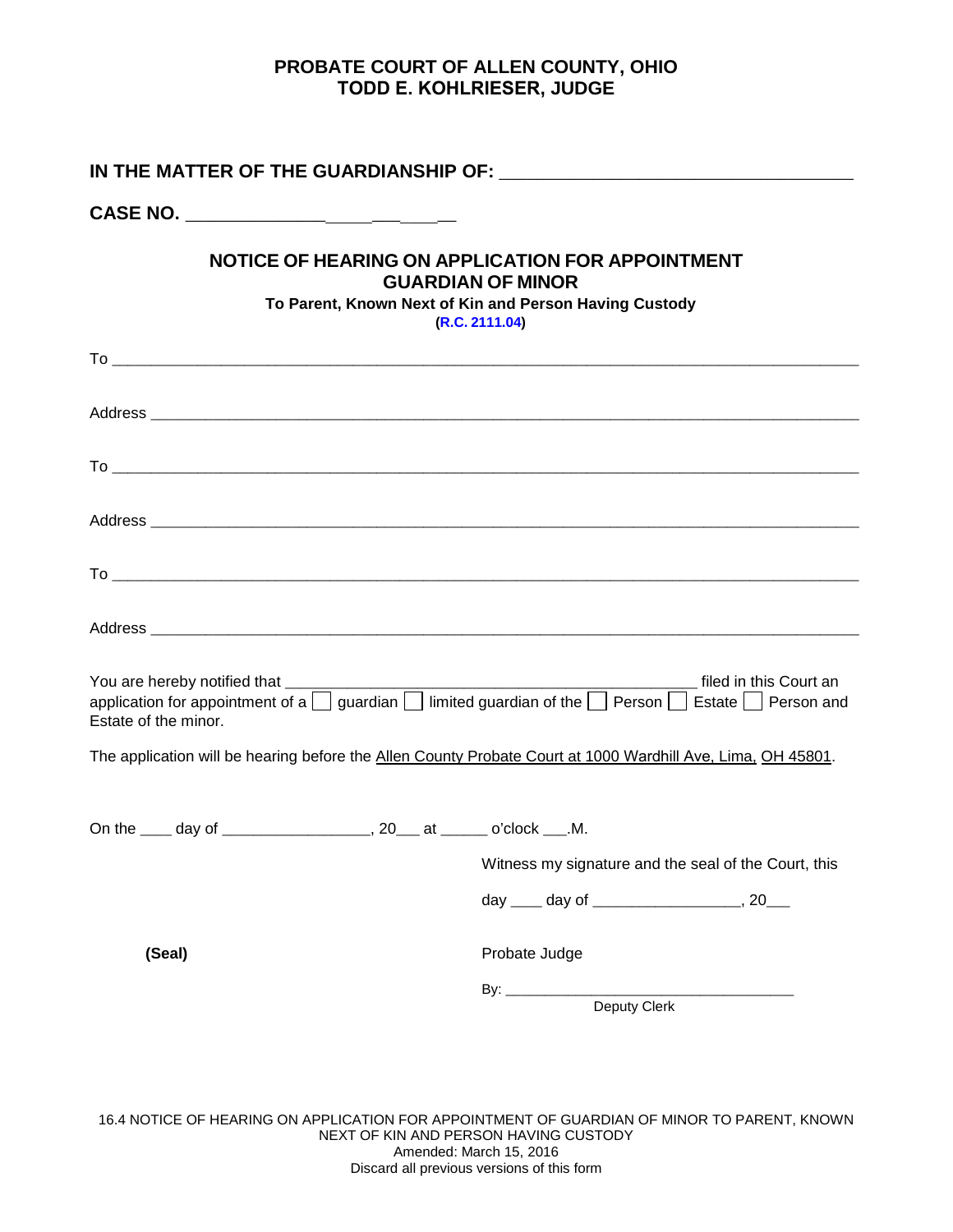## **PROBATE COURT OF ALLEN COUNTY, OHIO TODD E. KOHLRIESER, JUDGE**

| CASE NO. _______________________________                                  |                                                                                                                                                                                                                                                        |  |  |
|---------------------------------------------------------------------------|--------------------------------------------------------------------------------------------------------------------------------------------------------------------------------------------------------------------------------------------------------|--|--|
|                                                                           | NOTICE OF HEARING ON APPLICATION FOR APPOINTMENT<br><b>GUARDIAN OF MINOR</b><br>To Parent, Known Next of Kin and Person Having Custody<br>(R.C. 2111.04)                                                                                               |  |  |
|                                                                           |                                                                                                                                                                                                                                                        |  |  |
|                                                                           |                                                                                                                                                                                                                                                        |  |  |
|                                                                           |                                                                                                                                                                                                                                                        |  |  |
|                                                                           |                                                                                                                                                                                                                                                        |  |  |
|                                                                           |                                                                                                                                                                                                                                                        |  |  |
|                                                                           |                                                                                                                                                                                                                                                        |  |  |
| You are hereby notified that ____________________<br>Estate of the minor. | <b>Example 20 and 20 and 20 and 20 and 20 and 20 and 20 and 20 and 20 and 20 and 20 and 20 and 20 and 20 and 20 a</b><br>application for appointment of a $\Box$ guardian $\Box$ limited guardian of the $\Box$ Person $\Box$ Estate $\Box$ Person and |  |  |
|                                                                           | The application will be hearing before the Allen County Probate Court at 1000 Wardhill Ave, Lima, OH 45801.                                                                                                                                            |  |  |
| On the ____ day of ____________________, 20___ at ______ o'clock ___.M.   |                                                                                                                                                                                                                                                        |  |  |
|                                                                           | Witness my signature and the seal of the Court, this                                                                                                                                                                                                   |  |  |
|                                                                           | day _____ day of _________________________, 20____                                                                                                                                                                                                     |  |  |
| (Seal)                                                                    | Probate Judge                                                                                                                                                                                                                                          |  |  |
|                                                                           | Deputy Clerk                                                                                                                                                                                                                                           |  |  |
|                                                                           |                                                                                                                                                                                                                                                        |  |  |

16.4 NOTICE OF HEARING ON APPLICATION FOR APPOINTMENT OF GUARDIAN OF MINOR TO PARENT, KNOWN NEXT OF KIN AND PERSON HAVING CUSTODY Amended: March 15, 2016 Discard all previous versions of this form